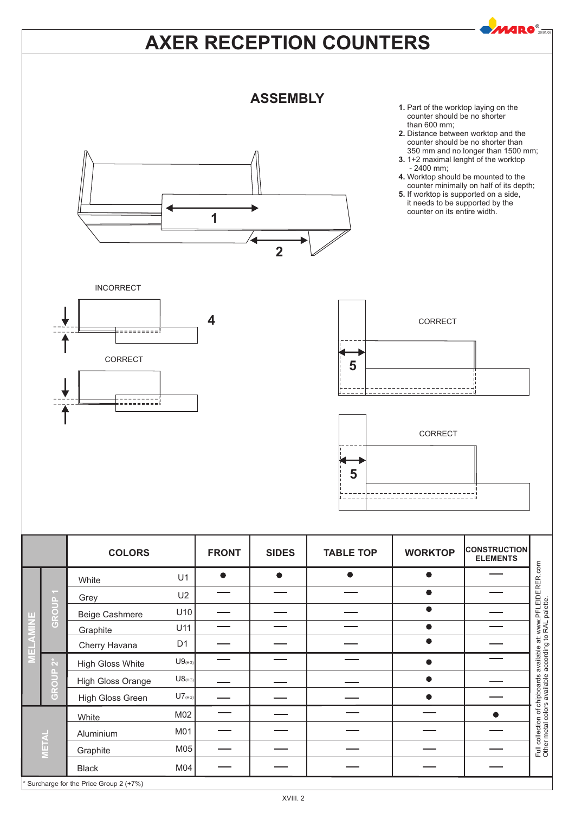# **AXER RECEPTION COUNTERS**



**2**

**1**

- **1.** Part of the worktop laying on the counter should be no shorter than 600 mm;
- **2.** Distance between worktop and the counter should be no shorter than 350 mm and no longer than 1500 mm;

20/01/09

- **3.** 1+2 maximal lenght of the worktop - 2400 mm;
- **4.** Worktop should be mounted to the counter minimally on half of its depth;
- **5.** If worktop is supported on a side, it needs to be supported by the counter on its entire width.









|              |                             | <b>COLORS</b>                           |                      | <b>FRONT</b> | <b>SIDES</b> | <b>TABLE TOP</b> | <b>WORKTOP</b> | <b>CONSTRUCTION</b><br><b>ELEMENTS</b> |                                                               |
|--------------|-----------------------------|-----------------------------------------|----------------------|--------------|--------------|------------------|----------------|----------------------------------------|---------------------------------------------------------------|
|              |                             | White                                   | U1                   | $\bullet$    | <b>.</b>     |                  |                |                                        | available at: www.PFLEIDERER.com<br>according to RAL palette. |
|              | $\mathcal{L}_{\mathcal{A}}$ | Grey                                    | U2                   |              |              |                  | $\bullet$      |                                        |                                                               |
|              | GROUP                       | <b>Beige Cashmere</b>                   | U10                  |              |              |                  | $\bullet$      |                                        |                                                               |
|              |                             | Graphite                                | U11                  |              |              |                  | $\bullet$      |                                        |                                                               |
|              |                             | Cherry Havana                           | D <sub>1</sub>       |              |              |                  |                |                                        |                                                               |
|              | $\alpha^*$                  | <b>High Gloss White</b>                 | $U9$ <sub>(HG)</sub> |              |              |                  |                |                                        |                                                               |
|              | GROUP                       | <b>High Gloss Orange</b>                | $U8$ (HG)            |              |              |                  | Δ              |                                        |                                                               |
|              |                             | High Gloss Green                        | $UT$ <sub>(HG)</sub> |              |              |                  |                |                                        |                                                               |
|              |                             | White                                   | M02                  |              |              |                  |                |                                        |                                                               |
| <b>METAL</b> |                             | Aluminium                               | M01                  |              |              |                  |                |                                        |                                                               |
|              |                             | Graphite                                | M05                  |              |              |                  |                |                                        | Full collection of chipboards<br>Other metal colors available |
|              |                             | <b>Black</b>                            | M04                  |              |              |                  |                |                                        |                                                               |
|              |                             | * Surcharge for the Price Group 2 (+7%) |                      |              |              |                  |                |                                        |                                                               |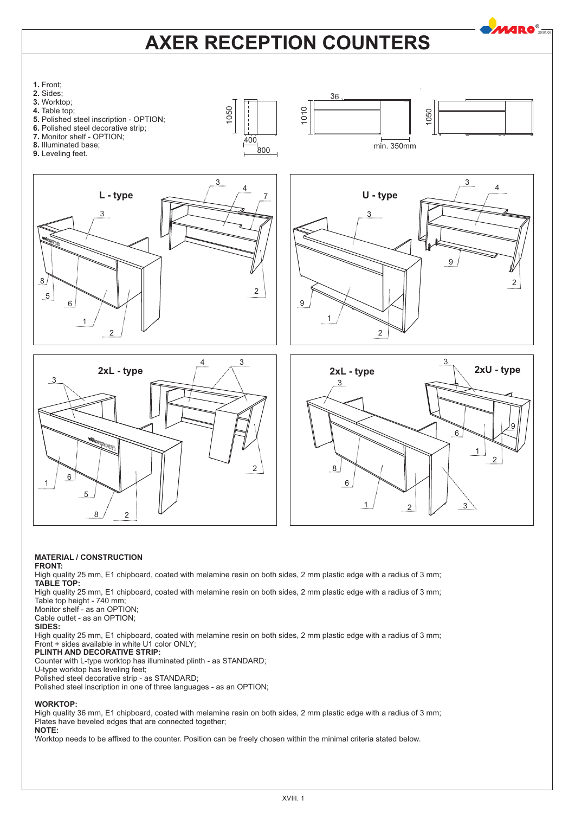# **AXER RECEPTION COUNTERS**

**MARO**®



## **MATERIAL / CONSTRUCTION**

**FRONT:**

High quality 25 mm, E1 chipboard, coated with melamine resin on both sides, 2 mm plastic edge with a radius of 3 mm; **TABLE TOP:**

High quality 25 mm, E1 chipboard, coated with melamine resin on both sides, 2 mm plastic edge with a radius of 3 mm; Table top height - 740 mm;

Monitor shelf - as an OPTION; Cable outlet - as an OPTION;

**SIDES:**

High quality 25 mm, E1 chipboard, coated with melamine resin on both sides, 2 mm plastic edge with a radius of 3 mm; Front + sides available in white U1 color ONLY;

### **PLINTH AND DECORATIVE STRIP:**

Counter with L-type worktop has illuminated plinth - as STANDARD;

U-type worktop has leveling feet;

Polished steel decorative strip - as STANDARD; Polished steel inscription in one of three languages - as an OPTION;

**WORKTOP:**

High quality 36 mm, E1 chipboard, coated with melamine resin on both sides, 2 mm plastic edge with a radius of 3 mm; Plates have beveled edges that are connected together; **NOTE:**

Worktop needs to be affixed to the counter. Position can be freely chosen within the minimal criteria stated below.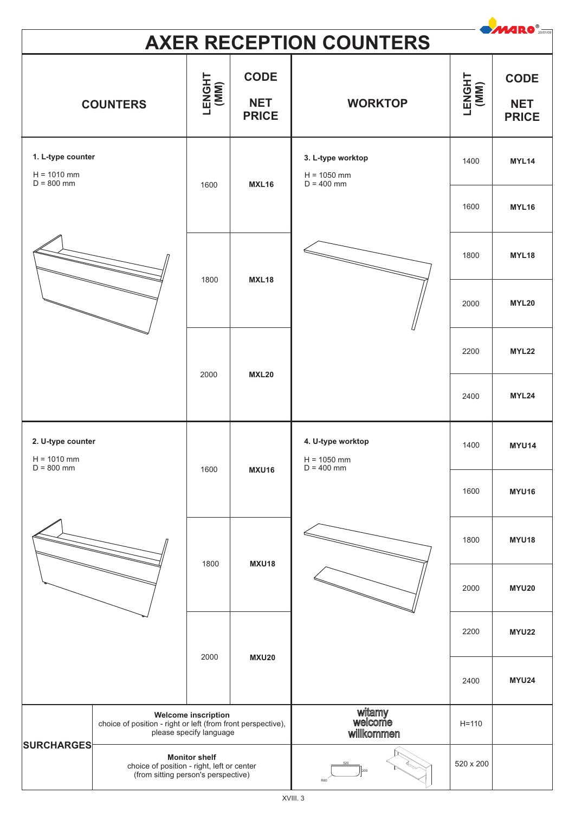| <b>MARO</b> <sup>®</sup><br><b>AXER RECEPTION COUNTERS</b> |                                                                                                                       |                      |                                                             |                                                    |                |                                           |  |
|------------------------------------------------------------|-----------------------------------------------------------------------------------------------------------------------|----------------------|-------------------------------------------------------------|----------------------------------------------------|----------------|-------------------------------------------|--|
| <b>COUNTERS</b>                                            |                                                                                                                       | LENGHT<br>(MM)       | <b>CODE</b><br><b>NET</b><br><b>WORKTOP</b><br><b>PRICE</b> |                                                    | LENGHT<br>(MM) | <b>CODE</b><br><b>NET</b><br><b>PRICE</b> |  |
| 1. L-type counter<br>$H = 1010$ mm<br>$D = 800$ mm         |                                                                                                                       | 1600                 | <b>MXL16</b>                                                | 3. L-type worktop<br>$H = 1050$ mm<br>$D = 400$ mm | 1400           | MYL14                                     |  |
|                                                            |                                                                                                                       |                      |                                                             |                                                    | 1600           | <b>MYL16</b>                              |  |
|                                                            |                                                                                                                       | 1800<br><b>MXL18</b> |                                                             | 1800                                               | MYL18          |                                           |  |
|                                                            |                                                                                                                       |                      |                                                             |                                                    | 2000           | <b>MYL20</b>                              |  |
|                                                            |                                                                                                                       | 2000                 |                                                             |                                                    | 2200           | <b>MYL22</b>                              |  |
|                                                            |                                                                                                                       |                      | <b>MXL20</b>                                                |                                                    | 2400           | MYL24                                     |  |
| 2. U-type counter<br>$H = 1010$ mm                         |                                                                                                                       | 1600<br><b>MXU16</b> |                                                             | 4. U-type worktop<br>$H = 1050$ mm<br>$D = 400$ mm | 1400           | <b>MYU14</b>                              |  |
|                                                            | $D = 800$ mm                                                                                                          |                      |                                                             |                                                    | 1600           | <b>MYU16</b>                              |  |
|                                                            |                                                                                                                       | 1800                 | <b>MXU18</b>                                                |                                                    | 1800           | <b>MYU18</b>                              |  |
|                                                            |                                                                                                                       |                      |                                                             |                                                    | 2000           | <b>MYU20</b>                              |  |
|                                                            |                                                                                                                       | <b>MXU20</b><br>2000 |                                                             |                                                    | 2200           | <b>MYU22</b>                              |  |
|                                                            |                                                                                                                       |                      |                                                             |                                                    | 2400           | <b>MYU24</b>                              |  |
|                                                            | <b>Welcome inscription</b><br>choice of position - right or left (from front perspective),<br>please specify language |                      |                                                             | witamy<br>welcome<br>willkommen                    | $H = 110$      |                                           |  |
| <b>SURCHARGES</b>                                          | <b>Monitor shelf</b><br>choice of position - right, left or center<br>(from sitting person's perspective)             |                      |                                                             |                                                    | 520 x 200      |                                           |  |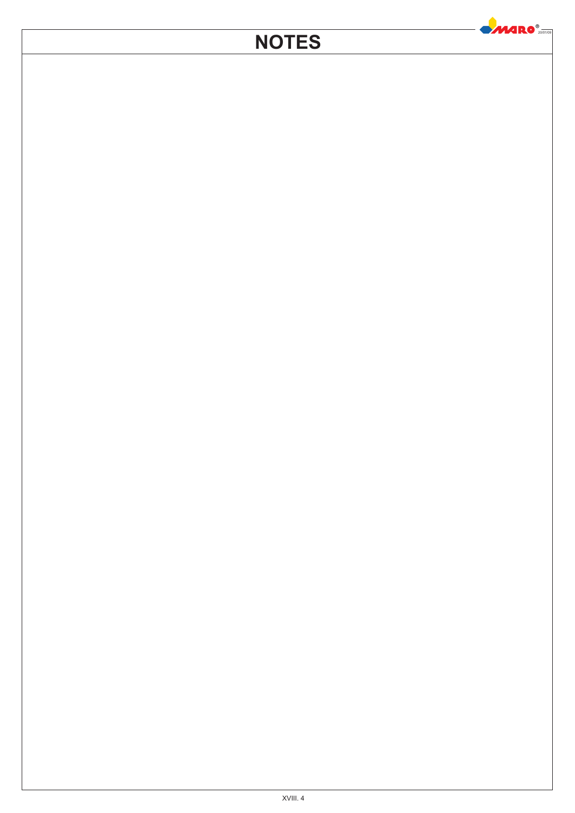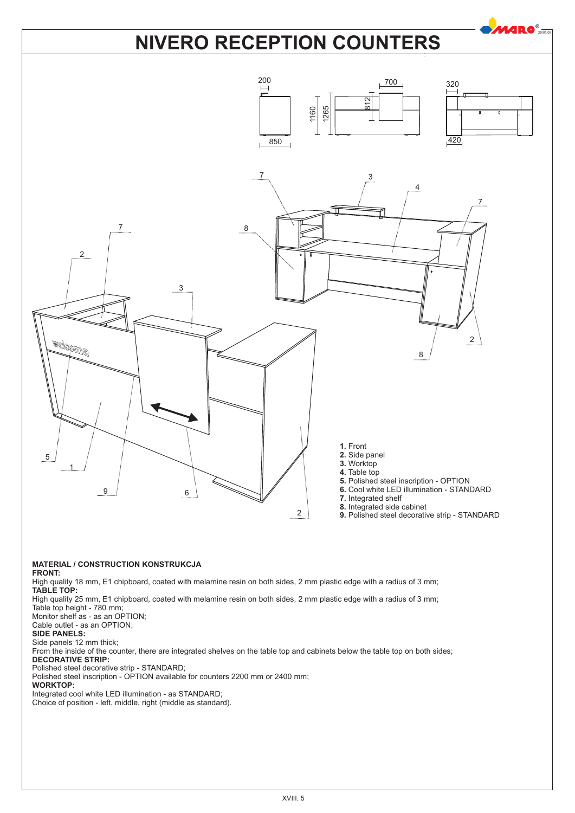# **NIVERO RECEPTION COUNTERS**

 $20^{\circ}$ 



## **MATERIAL / CONSTRUCTION KONSTRUKCJA**

**FRONT:**

High quality 18 mm, E1 chipboard, coated with melamine resin on both sides, 2 mm plastic edge with a radius of 3 mm; **TABLE TOP:**

High quality 25 mm, E1 chipboard, coated with melamine resin on both sides, 2 mm plastic edge with a radius of 3 mm; Table top height - 780 mm;

Monitor shelf as - as an OPTION; Cable outlet - as an OPTION;

**SIDE PANELS:**

Side panels 12 mm thick;

From the inside of the counter, there are integrated shelves on the table top and cabinets below the table top on both sides; **DECORATIVE STRIP:**

Polished steel decorative strip - STANDARD;

Polished steel inscription - OPTION available for counters 2200 mm or 2400 mm;

## **WORKTOP:**

Integrated cool white LED illumination - as STANDARD;

Choice of position - left, middle, right (middle as standard).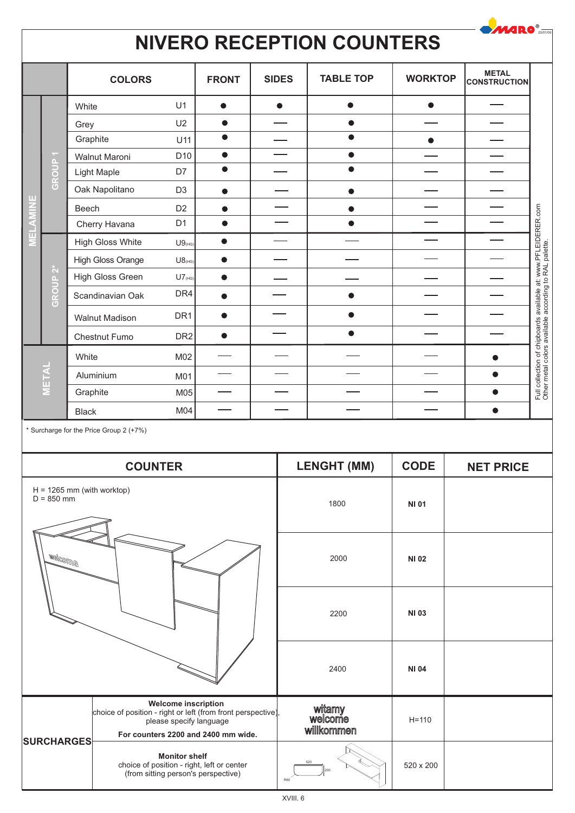#### $\bullet$ *MARO*® **NIVERO RECEPTION COUNTERS METAL** COLORS | FRONT | SIDES | TABLE TOP | WORKTOP | CONSTRUCTION **FRONT TABLE TOP WORKTOP White** U1  $\bullet$  $\bullet$  $\bullet$  $\bullet$ U2  $\bullet$  $\bullet$ Grey  $\overline{\bullet}$  $\bullet$ **Graphite** U<sub>11</sub>  $\bullet$ D10  $\bullet$  $\bullet$ Walnut Maroni **GROUP 1**  $\bullet$  $\bullet$ D<sub>7</sub> Light Maple Oak Napolitano D<sub>3</sub>  $\bullet$  $\bullet$ **MELAMINE** Full collection of chipboards available at: www.PFLEIDERER.com<br>Other metal colors available according to RAL palette. D<sub>2</sub> Beech  $\bullet$  $\overline{\phantom{0}}$  $\overline{\phantom{0}}$  $\bullet$  $\overline{\phantom{0}}$  $\overline{\phantom{0}}$ Full collection of chipboards available at: www.PFLEIDERER.com D<sub>1</sub>  $\bullet$  $\bullet$ Cherry Havana High Gloss White  $\bullet$  $U9$ <sub>(HG</sub>) Other metal colors available according to RAL palette.High Gloss Orange  $U8_{\text{HG}}$  $\bullet$ **GROUP 2\*** High Gloss Green  $U7$ <sub>(HG</sub>)  $\bullet$  $\overline{\phantom{0}}$ DR4 Scandinavian Oak  $\bullet$  $\bullet$  $\bullet$  $\overline{\phantom{a}}$  $\overline{\phantom{a}}$ DR<sub>1</sub>  $\bullet$ Walnut Madison  $\overline{\phantom{0}}$  $\bullet$  $\frac{1}{2}$ D<sub>R2</sub>  $\bullet$ Chestnut Fumo **White** M02  $\bullet$ **METAL**  $\bullet$ Aluminium M01 **Graphite** M05  $\bullet$  $\bullet$ M04  $\overbrace{\phantom{aaaaa}}$ Black  $\overline{\phantom{0}}$  $\overline{\phantom{a}}$

\* Surcharge for the Price Group 2 (+7%)

|                                              | <b>COUNTER</b>                                                                                                                                               | <b>LENGHT (MM)</b>              | <b>CODE</b>  | <b>NET PRICE</b> |
|----------------------------------------------|--------------------------------------------------------------------------------------------------------------------------------------------------------------|---------------------------------|--------------|------------------|
| $H = 1265$ mm (with worktop)<br>$D = 850$ mm |                                                                                                                                                              | 1800                            | <b>NI 01</b> |                  |
| <b>Melcollule</b>                            |                                                                                                                                                              | 2000                            | <b>NI 02</b> |                  |
|                                              |                                                                                                                                                              | 2200                            | <b>NI 03</b> |                  |
|                                              |                                                                                                                                                              | 2400                            | <b>NI 04</b> |                  |
| <b>SURCHARGES</b>                            | <b>Welcome inscription</b><br>choice of position - right or left (from front perspective),<br>please specify language<br>For counters 2200 and 2400 mm wide. | witamy<br>welcome<br>willkommen | $H = 110$    |                  |
|                                              | <b>Monitor shelf</b><br>choice of position - right, left or center<br>(from sitting person's perspective)                                                    | <b>R80</b>                      | 520 x 200    |                  |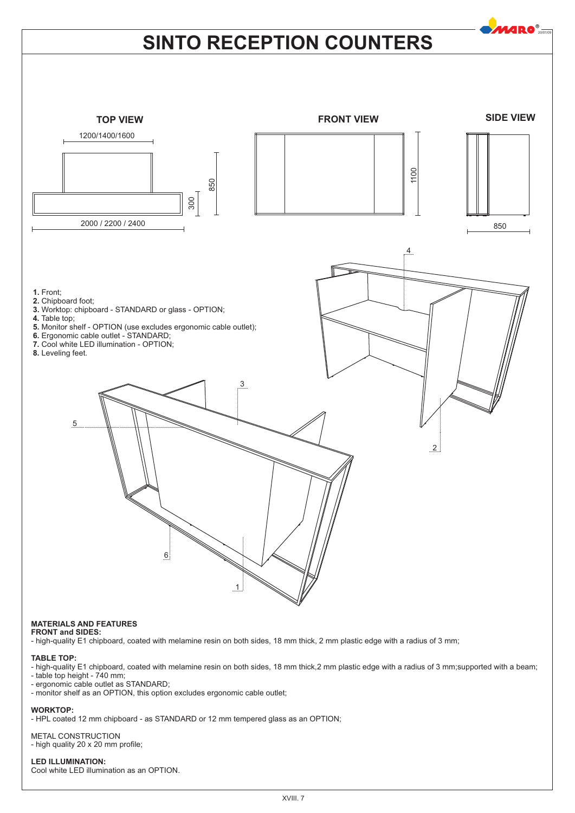

## **MATERIALS AND FEATURES**

**FRONT and SIDES:**

- high-quality E1 chipboard, coated with melamine resin on both sides, 18 mm thick, 2 mm plastic edge with a radius of 3 mm;

### **TABLE TOP:**

- high-quality E1 chipboard, coated with melamine resin on both sides, 18 mm thick,2 mm plastic edge with a radius of 3 mm;supported with a beam;

- table top height - 740 mm;

- ergonomic cable outlet as STANDARD;

- monitor shelf as an OPTION, this option excludes ergonomic cable outlet;

### **WORKTOP:**

- HPL coated 12 mm chipboard - as STANDARD or 12 mm tempered glass as an OPTION;

# METAL CONSTRUCTION

- high quality 20 x 20 mm profile;

### **LED ILLUMINATION:** Cool white LED illumination as an OPTION.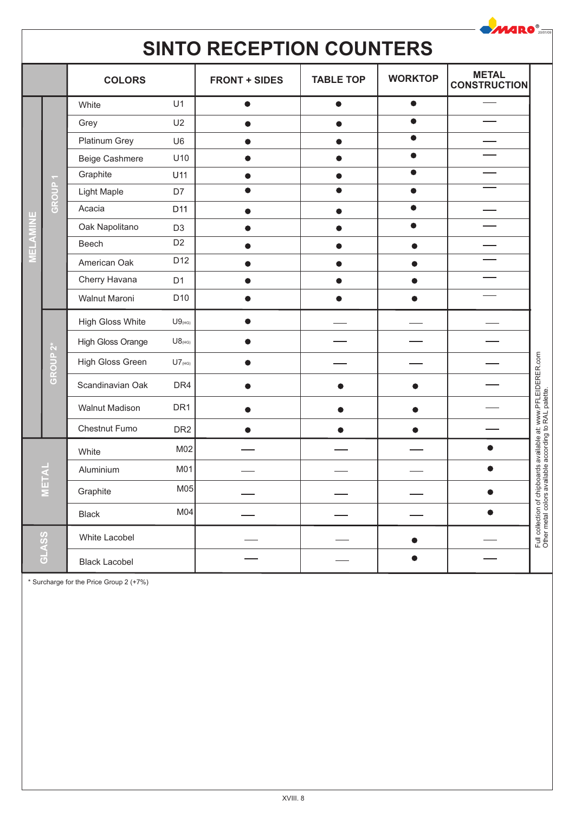| <b>MARO</b> <sup>®</sup><br><b>SINTO RECEPTION COUNTERS</b> |             |                         |                      |                      |                  |                |                                     |                                                                                                                          |
|-------------------------------------------------------------|-------------|-------------------------|----------------------|----------------------|------------------|----------------|-------------------------------------|--------------------------------------------------------------------------------------------------------------------------|
|                                                             |             | <b>COLORS</b>           |                      | <b>FRONT + SIDES</b> | <b>TABLE TOP</b> | <b>WORKTOP</b> | <b>METAL</b><br><b>CONSTRUCTION</b> |                                                                                                                          |
|                                                             |             | White                   | U1                   | $\bullet$            | $\bullet$        | $\bullet$      |                                     |                                                                                                                          |
|                                                             |             | Grey                    | U <sub>2</sub>       |                      |                  |                |                                     |                                                                                                                          |
|                                                             |             | Platinum Grey           | U <sub>6</sub>       |                      |                  | $\bullet$      |                                     |                                                                                                                          |
|                                                             |             | Beige Cashmere          | U10                  |                      |                  | $\bullet$      |                                     |                                                                                                                          |
|                                                             |             | Graphite                | U11                  |                      |                  | $\bullet$      |                                     |                                                                                                                          |
|                                                             | Δ.<br>GROUI | Light Maple             | D7                   |                      |                  |                |                                     |                                                                                                                          |
| ш                                                           |             | Acacia                  | D <sub>11</sub>      |                      |                  | ●              |                                     |                                                                                                                          |
|                                                             |             | Oak Napolitano          | D <sub>3</sub>       |                      |                  |                |                                     |                                                                                                                          |
|                                                             |             | Beech                   | D <sub>2</sub>       |                      |                  |                |                                     |                                                                                                                          |
|                                                             |             | American Oak            | D12                  |                      |                  |                |                                     |                                                                                                                          |
|                                                             |             | Cherry Havana           | D <sub>1</sub>       |                      |                  |                |                                     |                                                                                                                          |
|                                                             |             | Walnut Maroni           | D <sub>10</sub>      |                      |                  |                |                                     |                                                                                                                          |
|                                                             | GROUP 2*    | <b>High Gloss White</b> | $U9$ <sub>(HG)</sub> |                      |                  |                |                                     |                                                                                                                          |
|                                                             |             | High Gloss Orange       | $U8$ <sub>(HG)</sub> |                      |                  |                |                                     |                                                                                                                          |
|                                                             |             | High Gloss Green        | $UT_{(HG)}$          |                      |                  |                |                                     |                                                                                                                          |
|                                                             |             | Scandinavian Oak        | DR4                  |                      |                  |                |                                     |                                                                                                                          |
|                                                             |             | Walnut Madison          | DR <sub>1</sub>      |                      |                  |                |                                     |                                                                                                                          |
|                                                             |             | Chestnut Fumo           | DR <sub>2</sub>      |                      |                  |                |                                     |                                                                                                                          |
|                                                             |             | White                   | M <sub>02</sub>      |                      |                  |                |                                     |                                                                                                                          |
| METAL                                                       |             | Aluminium               | M01                  |                      |                  |                | $\bullet$                           |                                                                                                                          |
|                                                             |             | Graphite                | M <sub>05</sub>      |                      |                  |                | 0                                   |                                                                                                                          |
|                                                             |             | <b>Black</b>            | M <sub>04</sub>      |                      |                  |                |                                     |                                                                                                                          |
|                                                             |             | White Lacobel           |                      |                      |                  |                |                                     | Full collection of chipboards available at: www.PFLEIDERER.com<br>Other metal colors available according to RAL palette. |
| GLASS                                                       |             | <b>Black Lacobel</b>    |                      |                      |                  |                |                                     |                                                                                                                          |

\* Surcharge for the Price Group 2 (+7%)